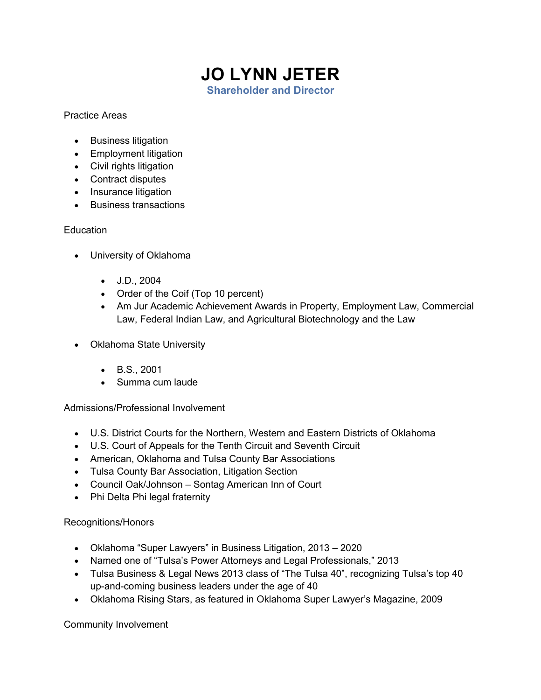## **JO LYNN JETER Shareholder and Director**

## Practice Areas

- Business litigation
- Employment litigation
- Civil rights litigation
- Contract disputes
- Insurance litigation
- Business transactions

## **Education**

- University of Oklahoma
	- J.D., 2004
	- Order of the Coif (Top 10 percent)
	- Am Jur Academic Achievement Awards in Property, Employment Law, Commercial Law, Federal Indian Law, and Agricultural Biotechnology and the Law
- Oklahoma State University
	- B.S., 2001
	- Summa cum laude

Admissions/Professional Involvement

- U.S. District Courts for the Northern, Western and Eastern Districts of Oklahoma
- U.S. Court of Appeals for the Tenth Circuit and Seventh Circuit
- American, Oklahoma and Tulsa County Bar Associations
- Tulsa County Bar Association, Litigation Section
- Council Oak/Johnson Sontag American Inn of Court
- Phi Delta Phi legal fraternity

## Recognitions/Honors

- Oklahoma "Super Lawyers" in Business Litigation, 2013 2020
- Named one of "Tulsa's Power Attorneys and Legal Professionals," 2013
- Tulsa Business & Legal News 2013 class of "The Tulsa 40", recognizing Tulsa's top 40 up-and-coming business leaders under the age of 40
- Oklahoma Rising Stars, as featured in Oklahoma Super Lawyer's Magazine, 2009

Community Involvement